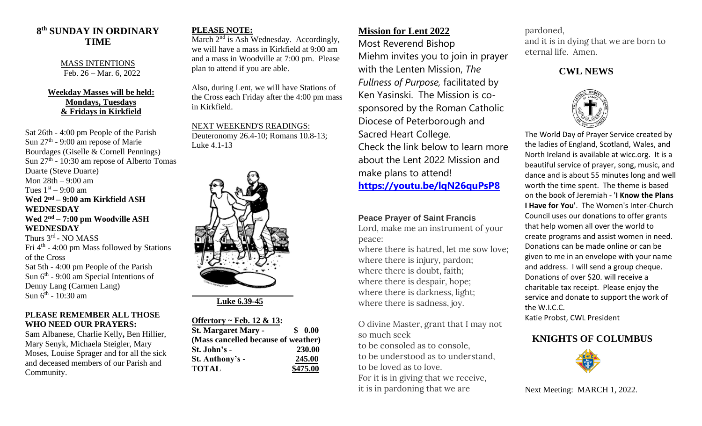# **8 th SUNDAY IN ORDINARY TIME**

MASS INTENTIONS Feb. 26 – Mar. 6, 2022

#### **Weekday Masses will be held: Mondays, Tuesdays & Fridays in Kirkfield**

Sat 26th - 4:00 pm People of the Parish Sun  $27<sup>th</sup>$  - 9:00 am repose of Marie Bourdages (Giselle & Cornell Pennings) Sun 27<sup>th</sup> - 10:30 am repose of Alberto Tomas Duarte (Steve Duarte) Mon 28th – 9:00 am Tues  $1<sup>st</sup> - 9:00$  am **Wed 2 nd – 9:00 am Kirkfield ASH WEDNESDAY Wed 2nd – 7:00 pm Woodville ASH WEDNESDAY** Thurs 3<sup>rd</sup> - NO MASS Fri 4<sup>th</sup> - 4:00 pm Mass followed by Stations of the Cross Sat 5th - 4:00 pm People of the Parish Sun  $6<sup>th</sup>$  - 9:00 am Special Intentions of Denny Lang (Carmen Lang) Sun 6<sup>th</sup> - 10:30 am

#### **PLEASE REMEMBER ALL THOSE WHO NEED OUR PRAYERS:**

Sam Albanese, Charlie Kelly**,** Ben Hillier, Mary Senyk, Michaela Steigler, Mary Moses, Louise Sprager and for all the sick and deceased members of our Parish and Community.

#### **PLEASE NOTE:**

March  $2<sup>nd</sup>$  is Ash Wednesday. Accordingly, we will have a mass in Kirkfield at 9:00 am and a mass in Woodville at 7:00 pm. Please plan to attend if you are able.

Also, during Lent, we will have Stations of the Cross each Friday after the 4:00 pm mass in Kirkfield.

NEXT WEEKEND'S READINGS: Deuteronomy 26.4-10; Romans 10.8-13; Luke 4.1-13



 **Luke 6.39-45**

| Offertory ~ Feb. 12 & 13:           |            |
|-------------------------------------|------------|
| <b>St. Margaret Mary -</b>          | \$<br>0.00 |
| (Mass cancelled because of weather) |            |
| St. John's -                        | 230.00     |
| St. Anthony's -                     | 245.00     |
| <b>TOTAL</b>                        | \$475.00   |

## **Mission for Lent 2022**

Most Reverend Bishop Miehm invites you to join in prayer with the Lenten Mission, *The Fullness of Purpose,* facilitated by Ken Yasinski. The Mission is cosponsored by the Roman Catholic Diocese of Peterborough and Sacred Heart College. Check the link below to learn more about the Lent 2022 Mission and make plans to attend! **<https://youtu.be/lqN26quPsP8>**

#### **Peace Prayer of Saint Francis**

Lord, make me an instrument of your peace:

where there is hatred, let me sow love; where there is injury, pardon; where there is doubt, faith; where there is despair, hope; where there is darkness, light; where there is sadness, joy.

O divine Master, grant that I may not so much seek to be consoled as to console, to be understood as to understand, to be loved as to love. For it is in giving that we receive, it is in pardoning that we are

pardoned,

and it is in dying that we are born to eternal life. Amen.

### **CWL NEWS**



The World Day of Prayer Service created by the ladies of England, Scotland, Wales, and North Ireland is available at wicc.org. It is a beautiful service of prayer, song, music, and dance and is about 55 minutes long and well worth the time spent. The theme is based on the book of Jeremiah - '**I Know the Plans I Have for You'**. The Women's Inter-Church Council uses our donations to offer grants that help women all over the world to create programs and assist women in need. Donations can be made online or can be given to me in an envelope with your name and address. I will send a group cheque. Donations of over \$20. will receive a charitable tax receipt. Please enjoy the service and donate to support the work of the W.I.C.C. Katie Probst, CWL President